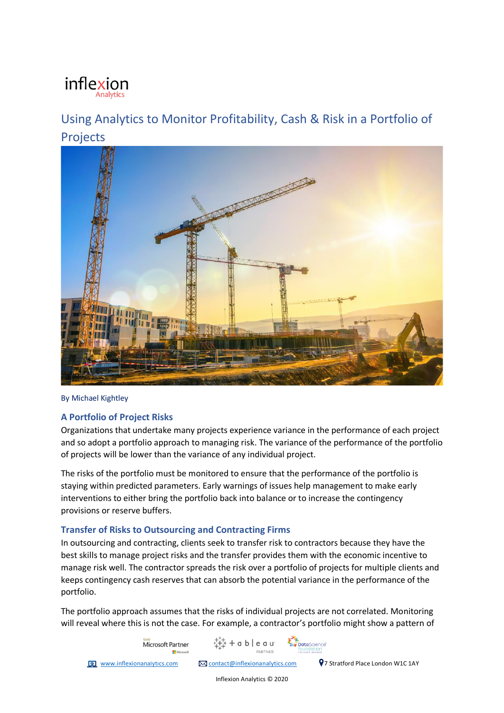# inflexion

## Using Analytics to Monitor Profitability, Cash & Risk in a Portfolio of Projects



By Michael Kightley

### **A Portfolio of Project Risks**

Organizations that undertake many projects experience variance in the performance of each project and so adopt a portfolio approach to managing risk. The variance of the performance of the portfolio of projects will be lower than the variance of any individual project.

The risks of the portfolio must be monitored to ensure that the performance of the portfolio is staying within predicted parameters. Early warnings of issues help management to make early interventions to either bring the portfolio back into balance or to increase the contingency provisions or reserve buffers.

### **Transfer of Risks to Outsourcing and Contracting Firms**

In outsourcing and contracting, clients seek to transfer risk to contractors because they have the best skills to manage project risks and the transfer provides them with the economic incentive to manage risk well. The contractor spreads the risk over a portfolio of projects for multiple clients and keeps contingency cash reserves that can absorb the potential variance in the performance of the portfolio.

The portfolio approach assumes that the risks of individual projects are not correlated. Monitoring will reveal where this is not the case. For example, a contractor's portfolio might show a pattern of

 $+a$  b  $e$  a u

Microsoft Partner

PARTNER **The www.inflexionanalytics.com**  $\boxtimes$  contact@inflexionanalytics.com **9**7 Stratford Place London W1C 1AY

**Data**Science

Inflexion Analytics © 2020